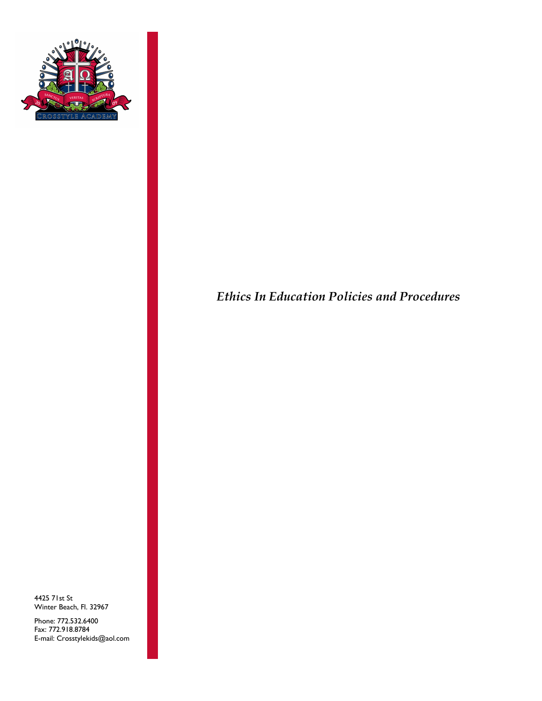

4425 71st St Winter Beach, Fl. 32967

Phone: 772.532.6400 Fax: 772.918.8784 E-mail: Crosstylekids@aol.com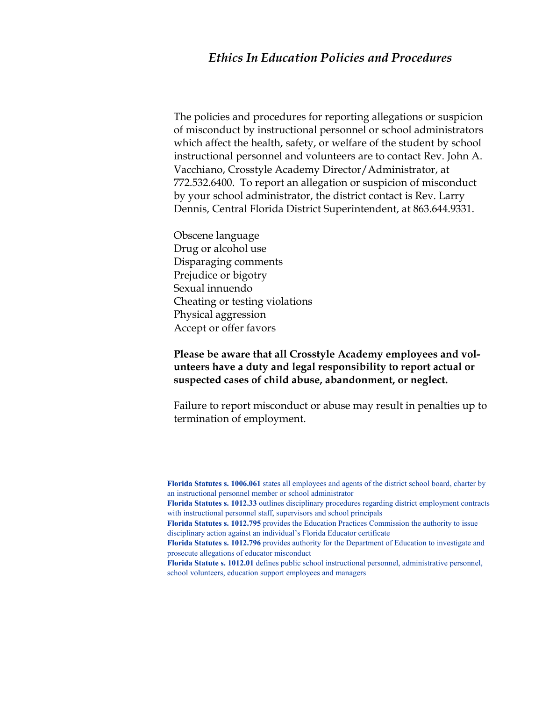The policies and procedures for reporting allegations or suspicion of misconduct by instructional personnel or school administrators which affect the health, safety, or welfare of the student by school instructional personnel and volunteers are to contact Rev. John A. Vacchiano, Crosstyle Academy Director/Administrator, at 772.532.6400. To report an allegation or suspicion of misconduct by your school administrator, the district contact is Rev. Larry Dennis, Central Florida District Superintendent, at 863.644.9331.

Obscene language Drug or alcohol use Disparaging comments Prejudice or bigotry Sexual innuendo Cheating or testing violations Physical aggression Accept or offer favors

## **Please be aware that all Crosstyle Academy employees and volunteers have a duty and legal responsibility to report actual or suspected cases of child abuse, abandonment, or neglect.**

Failure to report misconduct or abuse may result in penalties up to termination of employment.

**Florida Statutes s. 1006.061** states all employees and agents of the district school board, charter by an instructional personnel member or school administrator

**Florida Statutes s. 1012.33** outlines disciplinary procedures regarding district employment contracts with instructional personnel staff, supervisors and school principals

**Florida Statutes s. 1012.795** provides the Education Practices Commission the authority to issue disciplinary action against an individual's Florida Educator certificate

**Florida Statutes s. 1012.796** provides authority for the Department of Education to investigate and prosecute allegations of educator misconduct

**Florida Statute s. 1012.01** defines public school instructional personnel, administrative personnel, school volunteers, education support employees and managers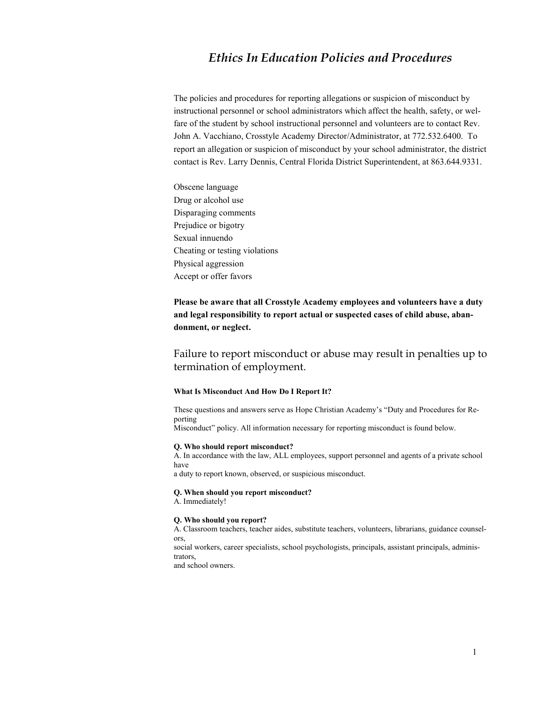The policies and procedures for reporting allegations or suspicion of misconduct by instructional personnel or school administrators which affect the health, safety, or welfare of the student by school instructional personnel and volunteers are to contact Rev. John A. Vacchiano, Crosstyle Academy Director/Administrator, at 772.532.6400. To report an allegation or suspicion of misconduct by your school administrator, the district contact is Rev. Larry Dennis, Central Florida District Superintendent, at 863.644.9331.

Obscene language Drug or alcohol use Disparaging comments Prejudice or bigotry Sexual innuendo Cheating or testing violations Physical aggression Accept or offer favors

**Please be aware that all Crosstyle Academy employees and volunteers have a duty and legal responsibility to report actual or suspected cases of child abuse, abandonment, or neglect.** 

Failure to report misconduct or abuse may result in penalties up to termination of employment.

#### **What Is Misconduct And How Do I Report It?**

These questions and answers serve as Hope Christian Academy's "Duty and Procedures for Reporting

Misconduct" policy. All information necessary for reporting misconduct is found below.

### **Q. Who should report misconduct?**

A. In accordance with the law, ALL employees, support personnel and agents of a private school have

a duty to report known, observed, or suspicious misconduct.

#### **Q. When should you report misconduct?**

A. Immediately!

#### **Q. Who should you report?**

A. Classroom teachers, teacher aides, substitute teachers, volunteers, librarians, guidance counselors,

social workers, career specialists, school psychologists, principals, assistant principals, administrators,

and school owners.